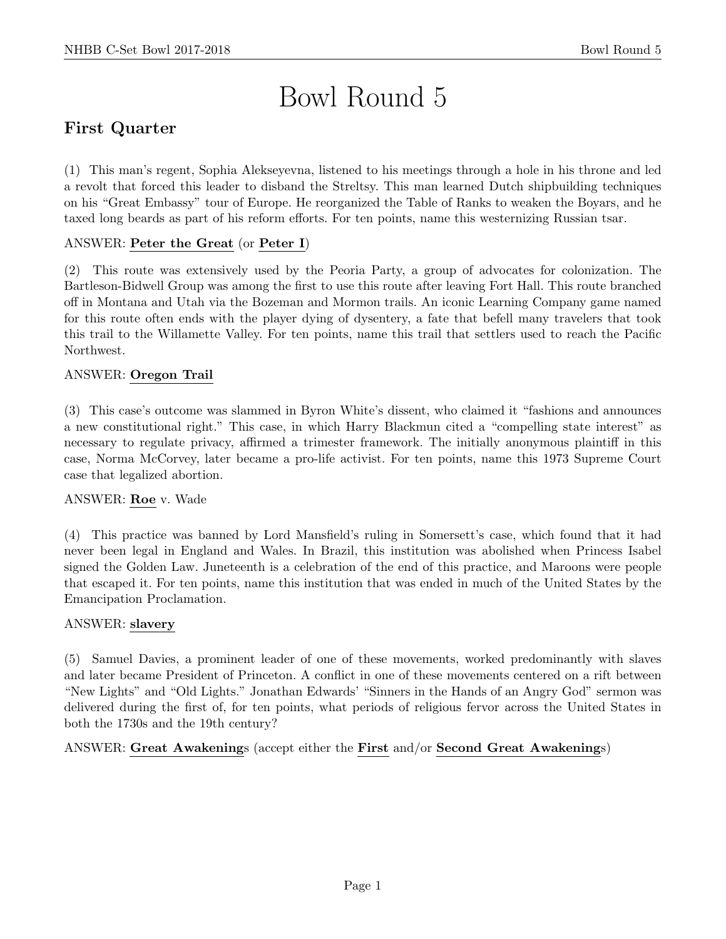# Bowl Round 5

# First Quarter

(1) This man's regent, Sophia Alekseyevna, listened to his meetings through a hole in his throne and led a revolt that forced this leader to disband the Streltsy. This man learned Dutch shipbuilding techniques on his "Great Embassy" tour of Europe. He reorganized the Table of Ranks to weaken the Boyars, and he taxed long beards as part of his reform efforts. For ten points, name this westernizing Russian tsar.

# ANSWER: Peter the Great (or Peter I)

(2) This route was extensively used by the Peoria Party, a group of advocates for colonization. The Bartleson-Bidwell Group was among the first to use this route after leaving Fort Hall. This route branched off in Montana and Utah via the Bozeman and Mormon trails. An iconic Learning Company game named for this route often ends with the player dying of dysentery, a fate that befell many travelers that took this trail to the Willamette Valley. For ten points, name this trail that settlers used to reach the Pacific Northwest.

# ANSWER: Oregon Trail

(3) This case's outcome was slammed in Byron White's dissent, who claimed it "fashions and announces a new constitutional right." This case, in which Harry Blackmun cited a "compelling state interest" as necessary to regulate privacy, affirmed a trimester framework. The initially anonymous plaintiff in this case, Norma McCorvey, later became a pro-life activist. For ten points, name this 1973 Supreme Court case that legalized abortion.

# ANSWER: Roe v. Wade

(4) This practice was banned by Lord Mansfield's ruling in Somersett's case, which found that it had never been legal in England and Wales. In Brazil, this institution was abolished when Princess Isabel signed the Golden Law. Juneteenth is a celebration of the end of this practice, and Maroons were people that escaped it. For ten points, name this institution that was ended in much of the United States by the Emancipation Proclamation.

#### ANSWER: slavery

(5) Samuel Davies, a prominent leader of one of these movements, worked predominantly with slaves and later became President of Princeton. A conflict in one of these movements centered on a rift between "New Lights" and "Old Lights." Jonathan Edwards' "Sinners in the Hands of an Angry God" sermon was delivered during the first of, for ten points, what periods of religious fervor across the United States in both the 1730s and the 19th century?

ANSWER: Great Awakenings (accept either the First and/or Second Great Awakenings)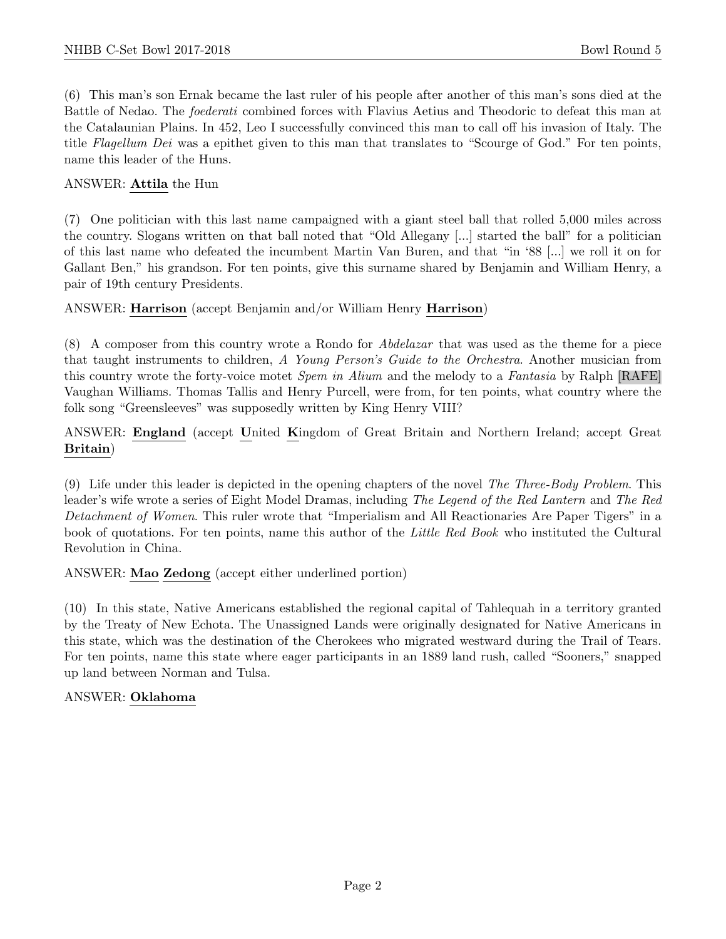(6) This man's son Ernak became the last ruler of his people after another of this man's sons died at the Battle of Nedao. The foederati combined forces with Flavius Aetius and Theodoric to defeat this man at the Catalaunian Plains. In 452, Leo I successfully convinced this man to call off his invasion of Italy. The title Flagellum Dei was a epithet given to this man that translates to "Scourge of God." For ten points, name this leader of the Huns.

## ANSWER: Attila the Hun

(7) One politician with this last name campaigned with a giant steel ball that rolled 5,000 miles across the country. Slogans written on that ball noted that "Old Allegany [...] started the ball" for a politician of this last name who defeated the incumbent Martin Van Buren, and that "in '88 [...] we roll it on for Gallant Ben," his grandson. For ten points, give this surname shared by Benjamin and William Henry, a pair of 19th century Presidents.

## ANSWER: Harrison (accept Benjamin and/or William Henry Harrison)

(8) A composer from this country wrote a Rondo for Abdelazar that was used as the theme for a piece that taught instruments to children, A Young Person's Guide to the Orchestra. Another musician from this country wrote the forty-voice motet *Spem in Alium* and the melody to a *Fantasia* by Ralph [RAFE] Vaughan Williams. Thomas Tallis and Henry Purcell, were from, for ten points, what country where the folk song "Greensleeves" was supposedly written by King Henry VIII?

ANSWER: England (accept United Kingdom of Great Britain and Northern Ireland; accept Great Britain)

(9) Life under this leader is depicted in the opening chapters of the novel The Three-Body Problem. This leader's wife wrote a series of Eight Model Dramas, including The Legend of the Red Lantern and The Red Detachment of Women. This ruler wrote that "Imperialism and All Reactionaries Are Paper Tigers" in a book of quotations. For ten points, name this author of the Little Red Book who instituted the Cultural Revolution in China.

ANSWER: Mao Zedong (accept either underlined portion)

(10) In this state, Native Americans established the regional capital of Tahlequah in a territory granted by the Treaty of New Echota. The Unassigned Lands were originally designated for Native Americans in this state, which was the destination of the Cherokees who migrated westward during the Trail of Tears. For ten points, name this state where eager participants in an 1889 land rush, called "Sooners," snapped up land between Norman and Tulsa.

# ANSWER: Oklahoma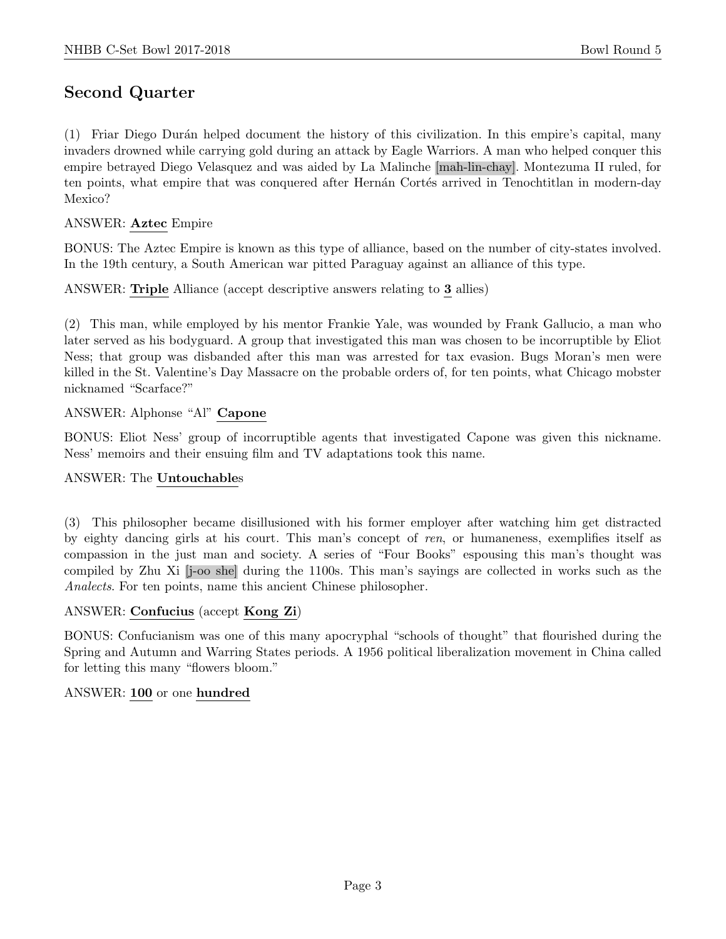# Second Quarter

(1) Friar Diego Dur´an helped document the history of this civilization. In this empire's capital, many invaders drowned while carrying gold during an attack by Eagle Warriors. A man who helped conquer this empire betrayed Diego Velasquez and was aided by La Malinche [mah-lin-chay]. Montezuma II ruled, for ten points, what empire that was conquered after Hernán Cortés arrived in Tenochtitlan in modern-day Mexico?

## ANSWER: Aztec Empire

BONUS: The Aztec Empire is known as this type of alliance, based on the number of city-states involved. In the 19th century, a South American war pitted Paraguay against an alliance of this type.

ANSWER: Triple Alliance (accept descriptive answers relating to 3 allies)

(2) This man, while employed by his mentor Frankie Yale, was wounded by Frank Gallucio, a man who later served as his bodyguard. A group that investigated this man was chosen to be incorruptible by Eliot Ness; that group was disbanded after this man was arrested for tax evasion. Bugs Moran's men were killed in the St. Valentine's Day Massacre on the probable orders of, for ten points, what Chicago mobster nicknamed "Scarface?"

## ANSWER: Alphonse "Al" Capone

BONUS: Eliot Ness' group of incorruptible agents that investigated Capone was given this nickname. Ness' memoirs and their ensuing film and TV adaptations took this name.

#### ANSWER: The Untouchables

(3) This philosopher became disillusioned with his former employer after watching him get distracted by eighty dancing girls at his court. This man's concept of ren, or humaneness, exemplifies itself as compassion in the just man and society. A series of "Four Books" espousing this man's thought was compiled by Zhu Xi [j-oo she] during the 1100s. This man's sayings are collected in works such as the Analects. For ten points, name this ancient Chinese philosopher.

#### ANSWER: Confucius (accept Kong Zi)

BONUS: Confucianism was one of this many apocryphal "schools of thought" that flourished during the Spring and Autumn and Warring States periods. A 1956 political liberalization movement in China called for letting this many "flowers bloom."

#### ANSWER: 100 or one hundred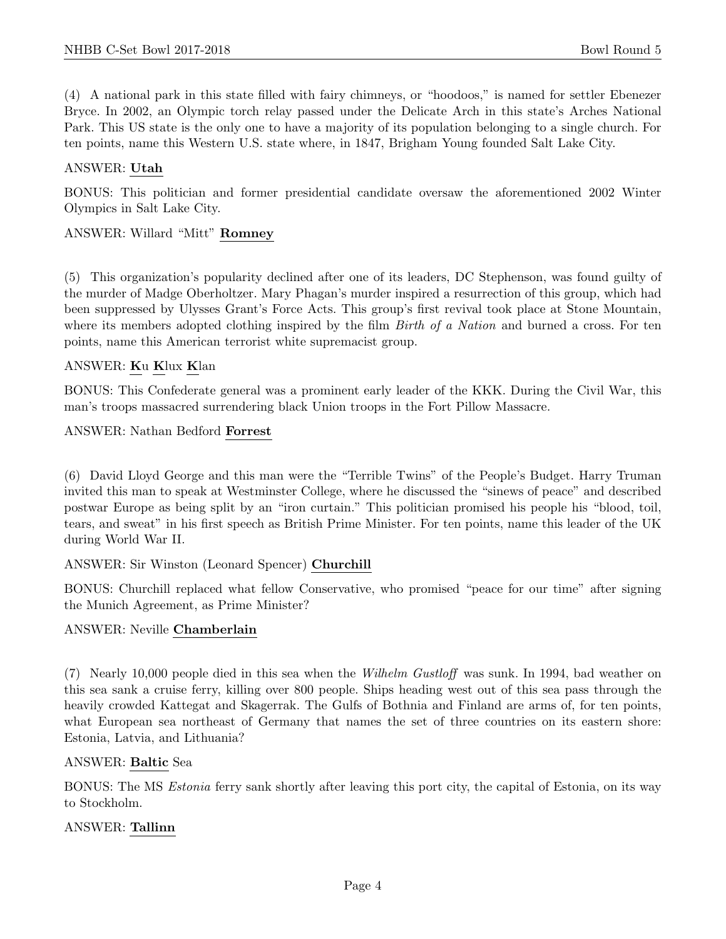(4) A national park in this state filled with fairy chimneys, or "hoodoos," is named for settler Ebenezer Bryce. In 2002, an Olympic torch relay passed under the Delicate Arch in this state's Arches National Park. This US state is the only one to have a majority of its population belonging to a single church. For ten points, name this Western U.S. state where, in 1847, Brigham Young founded Salt Lake City.

#### ANSWER: Utah

BONUS: This politician and former presidential candidate oversaw the aforementioned 2002 Winter Olympics in Salt Lake City.

#### ANSWER: Willard "Mitt" Romney

(5) This organization's popularity declined after one of its leaders, DC Stephenson, was found guilty of the murder of Madge Oberholtzer. Mary Phagan's murder inspired a resurrection of this group, which had been suppressed by Ulysses Grant's Force Acts. This group's first revival took place at Stone Mountain, where its members adopted clothing inspired by the film *Birth of a Nation* and burned a cross. For ten points, name this American terrorist white supremacist group.

#### ANSWER: Ku Klux Klan

BONUS: This Confederate general was a prominent early leader of the KKK. During the Civil War, this man's troops massacred surrendering black Union troops in the Fort Pillow Massacre.

ANSWER: Nathan Bedford Forrest

(6) David Lloyd George and this man were the "Terrible Twins" of the People's Budget. Harry Truman invited this man to speak at Westminster College, where he discussed the "sinews of peace" and described postwar Europe as being split by an "iron curtain." This politician promised his people his "blood, toil, tears, and sweat" in his first speech as British Prime Minister. For ten points, name this leader of the UK during World War II.

ANSWER: Sir Winston (Leonard Spencer) Churchill

BONUS: Churchill replaced what fellow Conservative, who promised "peace for our time" after signing the Munich Agreement, as Prime Minister?

#### ANSWER: Neville Chamberlain

(7) Nearly 10,000 people died in this sea when the Wilhelm Gustloff was sunk. In 1994, bad weather on this sea sank a cruise ferry, killing over 800 people. Ships heading west out of this sea pass through the heavily crowded Kattegat and Skagerrak. The Gulfs of Bothnia and Finland are arms of, for ten points, what European sea northeast of Germany that names the set of three countries on its eastern shore: Estonia, Latvia, and Lithuania?

#### ANSWER: Baltic Sea

BONUS: The MS Estonia ferry sank shortly after leaving this port city, the capital of Estonia, on its way to Stockholm.

#### ANSWER: Tallinn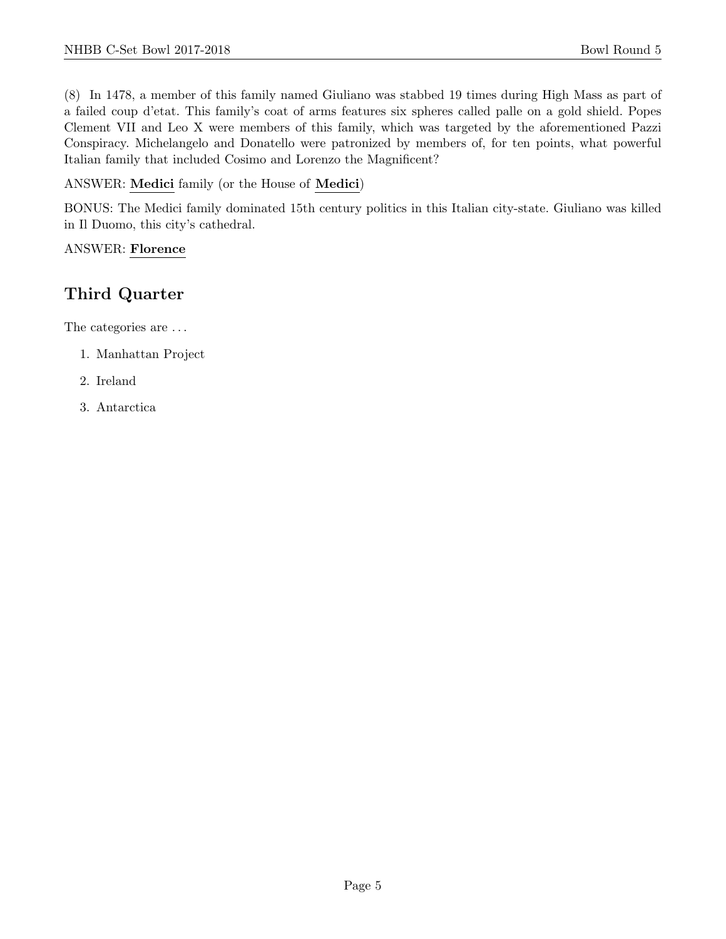(8) In 1478, a member of this family named Giuliano was stabbed 19 times during High Mass as part of a failed coup d'etat. This family's coat of arms features six spheres called palle on a gold shield. Popes Clement VII and Leo X were members of this family, which was targeted by the aforementioned Pazzi Conspiracy. Michelangelo and Donatello were patronized by members of, for ten points, what powerful Italian family that included Cosimo and Lorenzo the Magnificent?

ANSWER: Medici family (or the House of Medici)

BONUS: The Medici family dominated 15th century politics in this Italian city-state. Giuliano was killed in Il Duomo, this city's cathedral.

ANSWER: Florence

# Third Quarter

The categories are ...

- 1. Manhattan Project
- 2. Ireland
- 3. Antarctica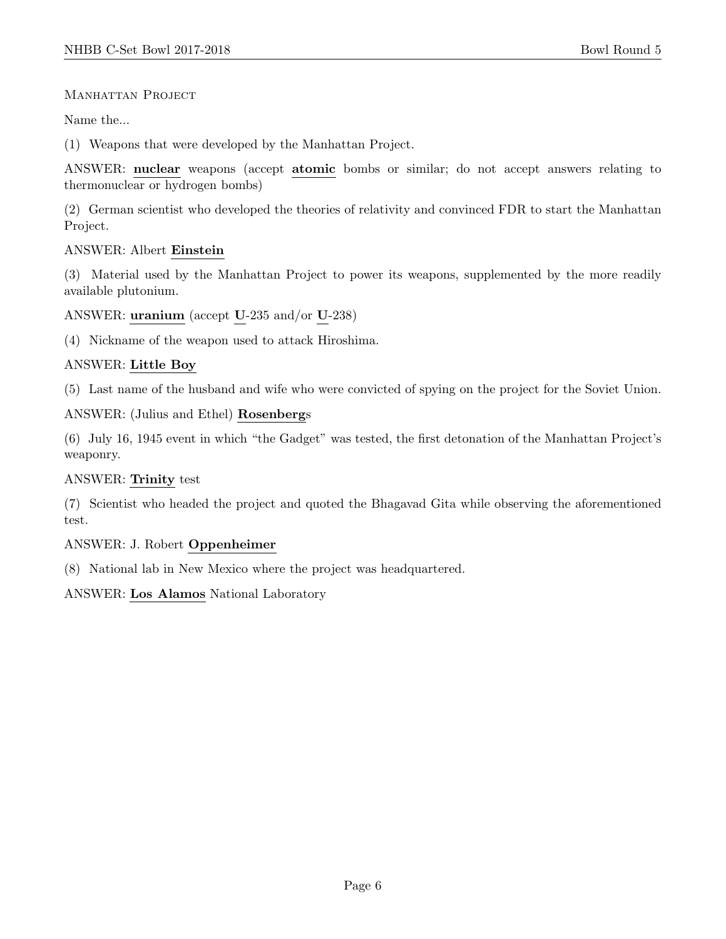## MANHATTAN PROJECT

Name the...

(1) Weapons that were developed by the Manhattan Project.

ANSWER: nuclear weapons (accept atomic bombs or similar; do not accept answers relating to thermonuclear or hydrogen bombs)

(2) German scientist who developed the theories of relativity and convinced FDR to start the Manhattan Project.

#### ANSWER: Albert Einstein

(3) Material used by the Manhattan Project to power its weapons, supplemented by the more readily available plutonium.

ANSWER: uranium (accept U-235 and/or U-238)

(4) Nickname of the weapon used to attack Hiroshima.

# ANSWER: Little Boy

(5) Last name of the husband and wife who were convicted of spying on the project for the Soviet Union.

ANSWER: (Julius and Ethel) Rosenbergs

(6) July 16, 1945 event in which "the Gadget" was tested, the first detonation of the Manhattan Project's weaponry.

# ANSWER: Trinity test

(7) Scientist who headed the project and quoted the Bhagavad Gita while observing the aforementioned test.

# ANSWER: J. Robert Oppenheimer

(8) National lab in New Mexico where the project was headquartered.

ANSWER: Los Alamos National Laboratory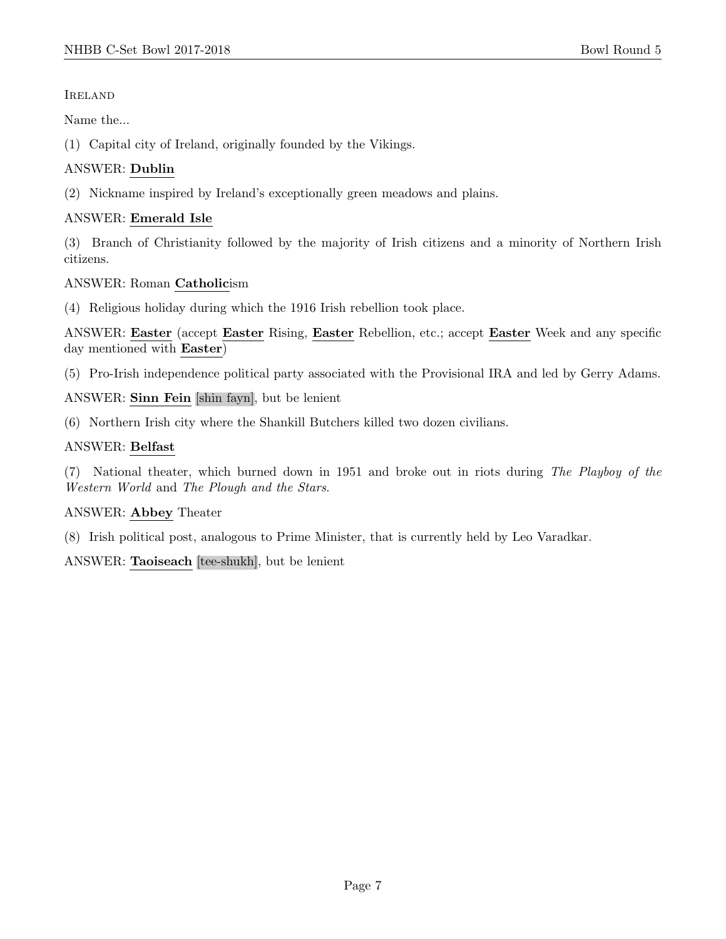## Ireland

Name the...

(1) Capital city of Ireland, originally founded by the Vikings.

# ANSWER: Dublin

(2) Nickname inspired by Ireland's exceptionally green meadows and plains.

# ANSWER: Emerald Isle

(3) Branch of Christianity followed by the majority of Irish citizens and a minority of Northern Irish citizens.

# ANSWER: Roman Catholicism

(4) Religious holiday during which the 1916 Irish rebellion took place.

ANSWER: Easter (accept Easter Rising, Easter Rebellion, etc.; accept Easter Week and any specific day mentioned with Easter)

(5) Pro-Irish independence political party associated with the Provisional IRA and led by Gerry Adams.

# ANSWER: Sinn Fein [shin fayn], but be lenient

(6) Northern Irish city where the Shankill Butchers killed two dozen civilians.

# ANSWER: Belfast

(7) National theater, which burned down in 1951 and broke out in riots during The Playboy of the Western World and The Plough and the Stars.

# ANSWER: Abbey Theater

(8) Irish political post, analogous to Prime Minister, that is currently held by Leo Varadkar.

ANSWER: Taoiseach [tee-shukh], but be lenient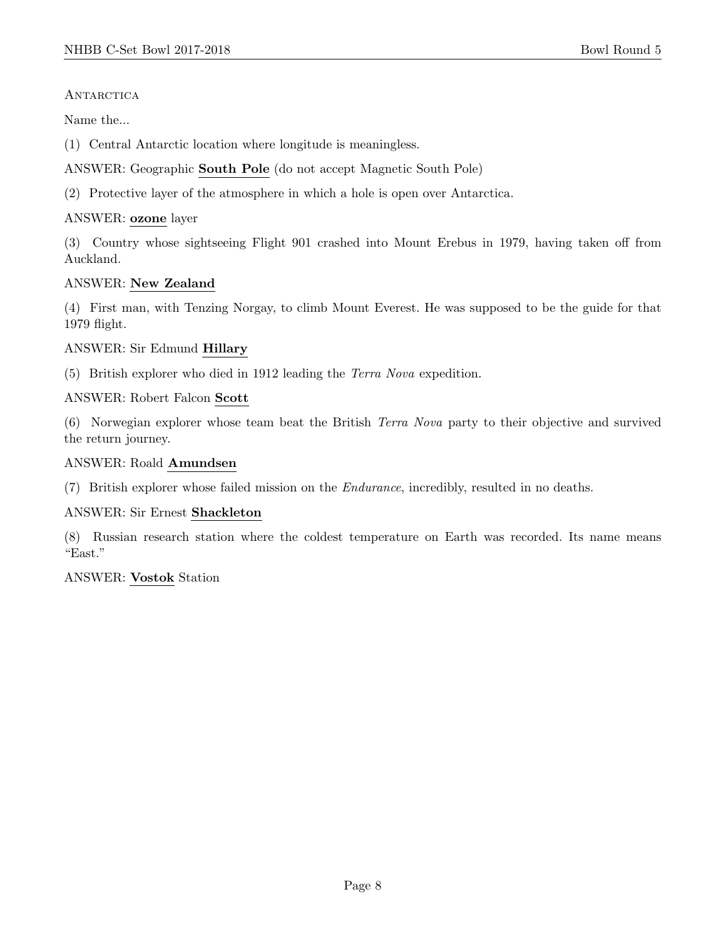#### **ANTARCTICA**

Name the...

(1) Central Antarctic location where longitude is meaningless.

ANSWER: Geographic South Pole (do not accept Magnetic South Pole)

(2) Protective layer of the atmosphere in which a hole is open over Antarctica.

## ANSWER: ozone layer

(3) Country whose sightseeing Flight 901 crashed into Mount Erebus in 1979, having taken off from Auckland.

## ANSWER: New Zealand

(4) First man, with Tenzing Norgay, to climb Mount Everest. He was supposed to be the guide for that 1979 flight.

## ANSWER: Sir Edmund Hillary

(5) British explorer who died in 1912 leading the Terra Nova expedition.

#### ANSWER: Robert Falcon Scott

(6) Norwegian explorer whose team beat the British Terra Nova party to their objective and survived the return journey.

#### ANSWER: Roald Amundsen

(7) British explorer whose failed mission on the Endurance, incredibly, resulted in no deaths.

#### ANSWER: Sir Ernest Shackleton

(8) Russian research station where the coldest temperature on Earth was recorded. Its name means "East."

#### ANSWER: Vostok Station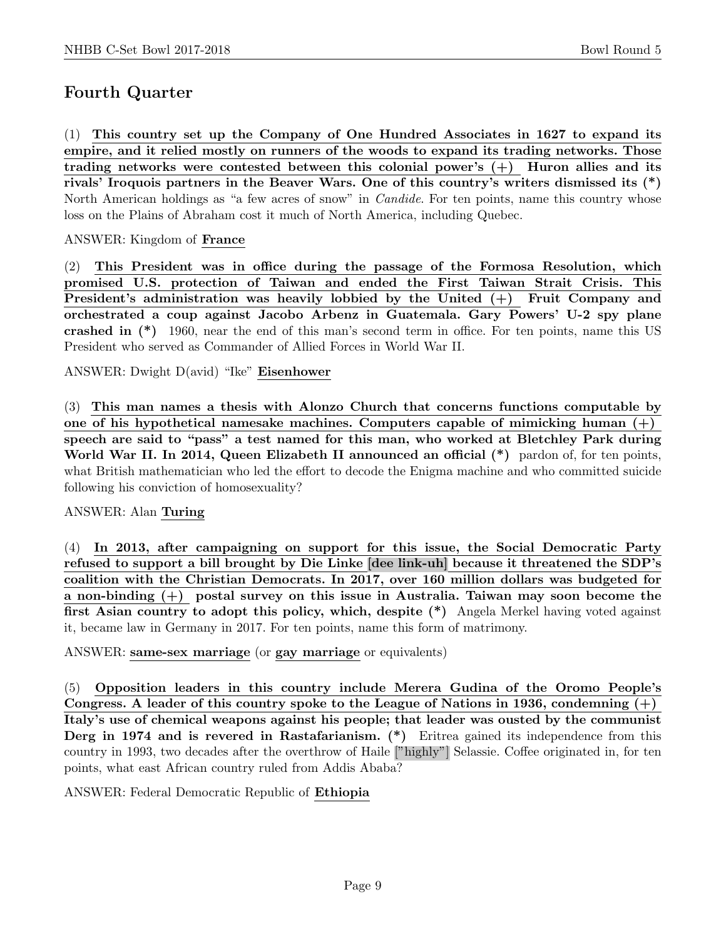# Fourth Quarter

(1) This country set up the Company of One Hundred Associates in 1627 to expand its empire, and it relied mostly on runners of the woods to expand its trading networks. Those trading networks were contested between this colonial power's  $(+)$  Huron allies and its rivals' Iroquois partners in the Beaver Wars. One of this country's writers dismissed its (\*) North American holdings as "a few acres of snow" in Candide. For ten points, name this country whose loss on the Plains of Abraham cost it much of North America, including Quebec.

#### ANSWER: Kingdom of France

(2) This President was in office during the passage of the Formosa Resolution, which promised U.S. protection of Taiwan and ended the First Taiwan Strait Crisis. This President's administration was heavily lobbied by the United (+) Fruit Company and orchestrated a coup against Jacobo Arbenz in Guatemala. Gary Powers' U-2 spy plane crashed in (\*) 1960, near the end of this man's second term in office. For ten points, name this US President who served as Commander of Allied Forces in World War II.

ANSWER: Dwight D(avid) "Ike" Eisenhower

(3) This man names a thesis with Alonzo Church that concerns functions computable by one of his hypothetical namesake machines. Computers capable of mimicking human (+) speech are said to "pass" a test named for this man, who worked at Bletchley Park during World War II. In 2014, Queen Elizabeth II announced an official  $(*)$  pardon of, for ten points, what British mathematician who led the effort to decode the Enigma machine and who committed suicide following his conviction of homosexuality?

#### ANSWER: Alan Turing

(4) In 2013, after campaigning on support for this issue, the Social Democratic Party refused to support a bill brought by Die Linke [dee link-uh] because it threatened the SDP's coalition with the Christian Democrats. In 2017, over 160 million dollars was budgeted for a non-binding (+) postal survey on this issue in Australia. Taiwan may soon become the first Asian country to adopt this policy, which, despite (\*) Angela Merkel having voted against it, became law in Germany in 2017. For ten points, name this form of matrimony.

#### ANSWER: same-sex marriage (or gay marriage or equivalents)

(5) Opposition leaders in this country include Merera Gudina of the Oromo People's Congress. A leader of this country spoke to the League of Nations in 1936, condemning  $(+)$ Italy's use of chemical weapons against his people; that leader was ousted by the communist Derg in 1974 and is revered in Rastafarianism. (\*) Eritrea gained its independence from this country in 1993, two decades after the overthrow of Haile ["highly"] Selassie. Coffee originated in, for ten points, what east African country ruled from Addis Ababa?

ANSWER: Federal Democratic Republic of Ethiopia